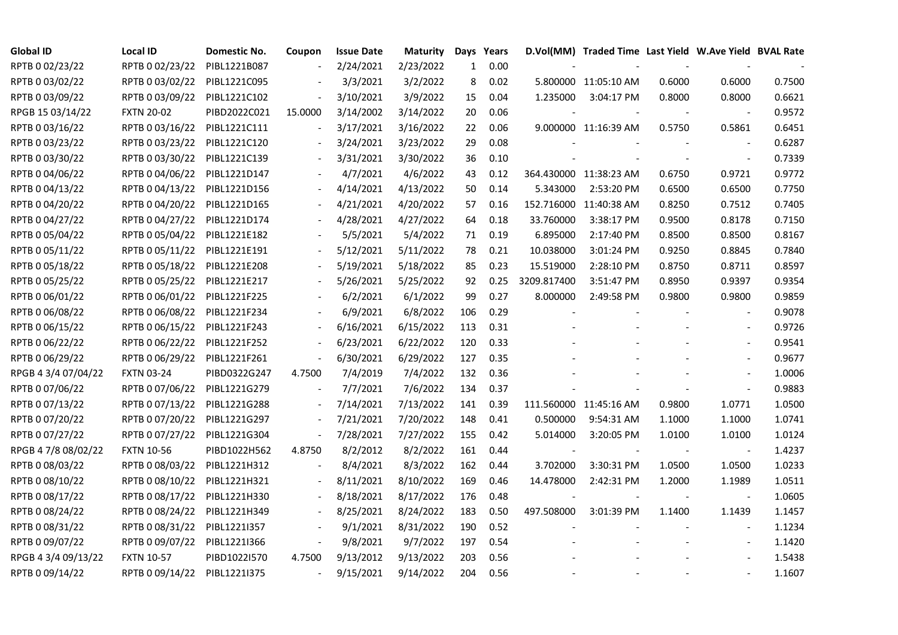| <b>Global ID</b>    | <b>Local ID</b>   | Domestic No. | Coupon                   | <b>Issue Date</b> | <b>Maturity</b> | Days | Years |             | D.Vol(MM) Traded Time Last Yield W.Ave Yield BVAL Rate |        |                          |        |
|---------------------|-------------------|--------------|--------------------------|-------------------|-----------------|------|-------|-------------|--------------------------------------------------------|--------|--------------------------|--------|
| RPTB 0 02/23/22     | RPTB 0 02/23/22   | PIBL1221B087 |                          | 2/24/2021         | 2/23/2022       | 1    | 0.00  |             |                                                        |        |                          |        |
| RPTB 0 03/02/22     | RPTB 0 03/02/22   | PIBL1221C095 |                          | 3/3/2021          | 3/2/2022        | 8    | 0.02  |             | 5.800000 11:05:10 AM                                   | 0.6000 | 0.6000                   | 0.7500 |
| RPTB 0 03/09/22     | RPTB 0 03/09/22   | PIBL1221C102 | $\overline{\phantom{a}}$ | 3/10/2021         | 3/9/2022        | 15   | 0.04  | 1.235000    | 3:04:17 PM                                             | 0.8000 | 0.8000                   | 0.6621 |
| RPGB 15 03/14/22    | <b>FXTN 20-02</b> | PIBD2022C021 | 15.0000                  | 3/14/2002         | 3/14/2022       | 20   | 0.06  |             |                                                        |        | $\sim$                   | 0.9572 |
| RPTB 0 03/16/22     | RPTB 0 03/16/22   | PIBL1221C111 | $\blacksquare$           | 3/17/2021         | 3/16/2022       | 22   | 0.06  |             | 9.000000 11:16:39 AM                                   | 0.5750 | 0.5861                   | 0.6451 |
| RPTB 0 03/23/22     | RPTB 0 03/23/22   | PIBL1221C120 |                          | 3/24/2021         | 3/23/2022       | 29   | 0.08  |             |                                                        |        |                          | 0.6287 |
| RPTB 0 03/30/22     | RPTB 0 03/30/22   | PIBL1221C139 |                          | 3/31/2021         | 3/30/2022       | 36   | 0.10  |             |                                                        |        | $\overline{\phantom{a}}$ | 0.7339 |
| RPTB 0 04/06/22     | RPTB 0 04/06/22   | PIBL1221D147 |                          | 4/7/2021          | 4/6/2022        | 43   | 0.12  |             | 364.430000 11:38:23 AM                                 | 0.6750 | 0.9721                   | 0.9772 |
| RPTB 0 04/13/22     | RPTB 0 04/13/22   | PIBL1221D156 |                          | 4/14/2021         | 4/13/2022       | 50   | 0.14  | 5.343000    | 2:53:20 PM                                             | 0.6500 | 0.6500                   | 0.7750 |
| RPTB 0 04/20/22     | RPTB 0 04/20/22   | PIBL1221D165 |                          | 4/21/2021         | 4/20/2022       | 57   | 0.16  | 152.716000  | 11:40:38 AM                                            | 0.8250 | 0.7512                   | 0.7405 |
| RPTB 0 04/27/22     | RPTB 0 04/27/22   | PIBL1221D174 | $\blacksquare$           | 4/28/2021         | 4/27/2022       | 64   | 0.18  | 33.760000   | 3:38:17 PM                                             | 0.9500 | 0.8178                   | 0.7150 |
| RPTB 0 05/04/22     | RPTB 0 05/04/22   | PIBL1221E182 |                          | 5/5/2021          | 5/4/2022        | 71   | 0.19  | 6.895000    | 2:17:40 PM                                             | 0.8500 | 0.8500                   | 0.8167 |
| RPTB 0 05/11/22     | RPTB 0 05/11/22   | PIBL1221E191 |                          | 5/12/2021         | 5/11/2022       | 78   | 0.21  | 10.038000   | 3:01:24 PM                                             | 0.9250 | 0.8845                   | 0.7840 |
| RPTB 0 05/18/22     | RPTB 0 05/18/22   | PIBL1221E208 |                          | 5/19/2021         | 5/18/2022       | 85   | 0.23  | 15.519000   | 2:28:10 PM                                             | 0.8750 | 0.8711                   | 0.8597 |
| RPTB 0 05/25/22     | RPTB 0 05/25/22   | PIBL1221E217 |                          | 5/26/2021         | 5/25/2022       | 92   | 0.25  | 3209.817400 | 3:51:47 PM                                             | 0.8950 | 0.9397                   | 0.9354 |
| RPTB 0 06/01/22     | RPTB 0 06/01/22   | PIBL1221F225 |                          | 6/2/2021          | 6/1/2022        | 99   | 0.27  | 8.000000    | 2:49:58 PM                                             | 0.9800 | 0.9800                   | 0.9859 |
| RPTB 0 06/08/22     | RPTB 0 06/08/22   | PIBL1221F234 |                          | 6/9/2021          | 6/8/2022        | 106  | 0.29  |             |                                                        |        |                          | 0.9078 |
| RPTB 0 06/15/22     | RPTB 0 06/15/22   | PIBL1221F243 | $\blacksquare$           | 6/16/2021         | 6/15/2022       | 113  | 0.31  |             |                                                        |        | $\blacksquare$           | 0.9726 |
| RPTB 0 06/22/22     | RPTB 0 06/22/22   | PIBL1221F252 | $\overline{\phantom{a}}$ | 6/23/2021         | 6/22/2022       | 120  | 0.33  |             |                                                        |        |                          | 0.9541 |
| RPTB 0 06/29/22     | RPTB 0 06/29/22   | PIBL1221F261 | $\blacksquare$           | 6/30/2021         | 6/29/2022       | 127  | 0.35  |             |                                                        |        | $\sim$                   | 0.9677 |
| RPGB 4 3/4 07/04/22 | <b>FXTN 03-24</b> | PIBD0322G247 | 4.7500                   | 7/4/2019          | 7/4/2022        | 132  | 0.36  |             |                                                        |        | $\sim$                   | 1.0006 |
| RPTB 0 07/06/22     | RPTB 0 07/06/22   | PIBL1221G279 |                          | 7/7/2021          | 7/6/2022        | 134  | 0.37  |             |                                                        |        | $\bar{\phantom{a}}$      | 0.9883 |
| RPTB 0 07/13/22     | RPTB 0 07/13/22   | PIBL1221G288 |                          | 7/14/2021         | 7/13/2022       | 141  | 0.39  |             | 111.560000 11:45:16 AM                                 | 0.9800 | 1.0771                   | 1.0500 |
| RPTB 0 07/20/22     | RPTB 0 07/20/22   | PIBL1221G297 | $\overline{\phantom{a}}$ | 7/21/2021         | 7/20/2022       | 148  | 0.41  | 0.500000    | 9:54:31 AM                                             | 1.1000 | 1.1000                   | 1.0741 |
| RPTB 0 07/27/22     | RPTB 0 07/27/22   | PIBL1221G304 | $\blacksquare$           | 7/28/2021         | 7/27/2022       | 155  | 0.42  | 5.014000    | 3:20:05 PM                                             | 1.0100 | 1.0100                   | 1.0124 |
| RPGB 4 7/8 08/02/22 | <b>FXTN 10-56</b> | PIBD1022H562 | 4.8750                   | 8/2/2012          | 8/2/2022        | 161  | 0.44  |             |                                                        |        | $\overline{\phantom{a}}$ | 1.4237 |
| RPTB 0 08/03/22     | RPTB 0 08/03/22   | PIBL1221H312 |                          | 8/4/2021          | 8/3/2022        | 162  | 0.44  | 3.702000    | 3:30:31 PM                                             | 1.0500 | 1.0500                   | 1.0233 |
| RPTB 0 08/10/22     | RPTB 0 08/10/22   | PIBL1221H321 |                          | 8/11/2021         | 8/10/2022       | 169  | 0.46  | 14.478000   | 2:42:31 PM                                             | 1.2000 | 1.1989                   | 1.0511 |
| RPTB 0 08/17/22     | RPTB 0 08/17/22   | PIBL1221H330 |                          | 8/18/2021         | 8/17/2022       | 176  | 0.48  |             |                                                        |        | $\overline{\phantom{a}}$ | 1.0605 |
| RPTB 0 08/24/22     | RPTB 0 08/24/22   | PIBL1221H349 |                          | 8/25/2021         | 8/24/2022       | 183  | 0.50  | 497.508000  | 3:01:39 PM                                             | 1.1400 | 1.1439                   | 1.1457 |
| RPTB 0 08/31/22     | RPTB 0 08/31/22   | PIBL1221I357 |                          | 9/1/2021          | 8/31/2022       | 190  | 0.52  |             |                                                        |        | $\overline{\phantom{a}}$ | 1.1234 |
| RPTB 0 09/07/22     | RPTB 0 09/07/22   | PIBL12211366 | $\blacksquare$           | 9/8/2021          | 9/7/2022        | 197  | 0.54  |             |                                                        |        | $\overline{\phantom{a}}$ | 1.1420 |
| RPGB 4 3/4 09/13/22 | <b>FXTN 10-57</b> | PIBD1022I570 | 4.7500                   | 9/13/2012         | 9/13/2022       | 203  | 0.56  |             |                                                        |        |                          | 1.5438 |
| RPTB 0 09/14/22     | RPTB 0 09/14/22   | PIBL1221I375 | $\blacksquare$           | 9/15/2021         | 9/14/2022       | 204  | 0.56  |             |                                                        |        | $\blacksquare$           | 1.1607 |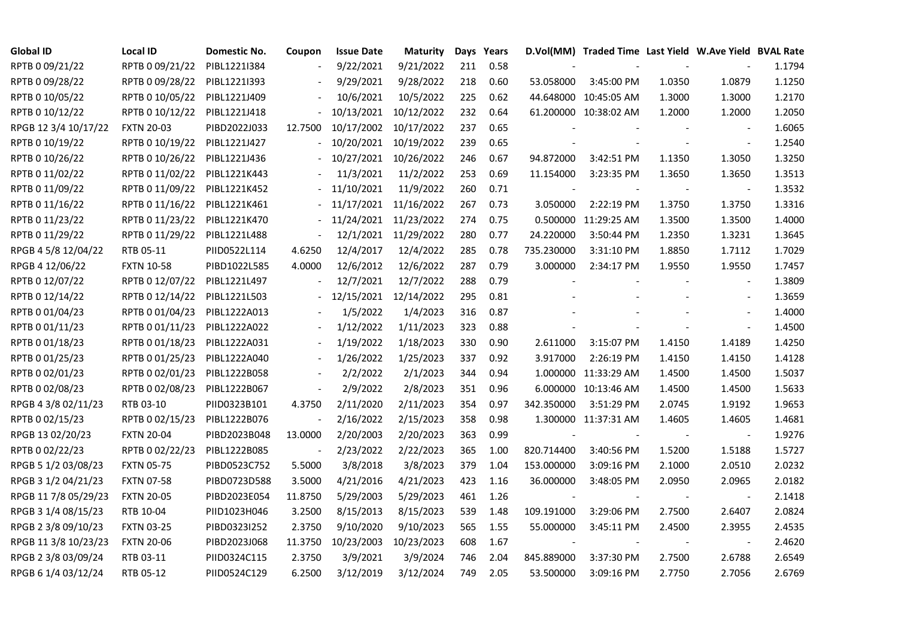| <b>Global ID</b>     | <b>Local ID</b>   | Domestic No. | Coupon         | <b>Issue Date</b> | Maturity   |     | Days Years |            | D.Vol(MM) Traded Time Last Yield W.Ave Yield BVAL Rate |        |                          |        |
|----------------------|-------------------|--------------|----------------|-------------------|------------|-----|------------|------------|--------------------------------------------------------|--------|--------------------------|--------|
| RPTB 0 09/21/22      | RPTB 0 09/21/22   | PIBL1221I384 |                | 9/22/2021         | 9/21/2022  | 211 | 0.58       |            |                                                        |        |                          | 1.1794 |
| RPTB 0 09/28/22      | RPTB 0 09/28/22   | PIBL1221I393 |                | 9/29/2021         | 9/28/2022  | 218 | 0.60       | 53.058000  | 3:45:00 PM                                             | 1.0350 | 1.0879                   | 1.1250 |
| RPTB 0 10/05/22      | RPTB 0 10/05/22   | PIBL1221J409 |                | 10/6/2021         | 10/5/2022  | 225 | 0.62       |            | 44.648000 10:45:05 AM                                  | 1.3000 | 1.3000                   | 1.2170 |
| RPTB 0 10/12/22      | RPTB 0 10/12/22   | PIBL1221J418 |                | 10/13/2021        | 10/12/2022 | 232 | 0.64       |            | 61.200000 10:38:02 AM                                  | 1.2000 | 1.2000                   | 1.2050 |
| RPGB 12 3/4 10/17/22 | <b>FXTN 20-03</b> | PIBD2022J033 | 12.7500        | 10/17/2002        | 10/17/2022 | 237 | 0.65       |            |                                                        |        | $\overline{\phantom{a}}$ | 1.6065 |
| RPTB 0 10/19/22      | RPTB 0 10/19/22   | PIBL1221J427 |                | 10/20/2021        | 10/19/2022 | 239 | 0.65       |            |                                                        |        | $\blacksquare$           | 1.2540 |
| RPTB 0 10/26/22      | RPTB 0 10/26/22   | PIBL1221J436 |                | 10/27/2021        | 10/26/2022 | 246 | 0.67       | 94.872000  | 3:42:51 PM                                             | 1.1350 | 1.3050                   | 1.3250 |
| RPTB 0 11/02/22      | RPTB 0 11/02/22   | PIBL1221K443 |                | 11/3/2021         | 11/2/2022  | 253 | 0.69       | 11.154000  | 3:23:35 PM                                             | 1.3650 | 1.3650                   | 1.3513 |
| RPTB 0 11/09/22      | RPTB 0 11/09/22   | PIBL1221K452 |                | 11/10/2021        | 11/9/2022  | 260 | 0.71       |            |                                                        |        |                          | 1.3532 |
| RPTB 0 11/16/22      | RPTB 0 11/16/22   | PIBL1221K461 |                | 11/17/2021        | 11/16/2022 | 267 | 0.73       | 3.050000   | 2:22:19 PM                                             | 1.3750 | 1.3750                   | 1.3316 |
| RPTB 0 11/23/22      | RPTB 0 11/23/22   | PIBL1221K470 | $\blacksquare$ | 11/24/2021        | 11/23/2022 | 274 | 0.75       |            | 0.500000 11:29:25 AM                                   | 1.3500 | 1.3500                   | 1.4000 |
| RPTB 0 11/29/22      | RPTB 0 11/29/22   | PIBL1221L488 | $\blacksquare$ | 12/1/2021         | 11/29/2022 | 280 | 0.77       | 24.220000  | 3:50:44 PM                                             | 1.2350 | 1.3231                   | 1.3645 |
| RPGB 4 5/8 12/04/22  | RTB 05-11         | PIID0522L114 | 4.6250         | 12/4/2017         | 12/4/2022  | 285 | 0.78       | 735.230000 | 3:31:10 PM                                             | 1.8850 | 1.7112                   | 1.7029 |
| RPGB 4 12/06/22      | <b>FXTN 10-58</b> | PIBD1022L585 | 4.0000         | 12/6/2012         | 12/6/2022  | 287 | 0.79       | 3.000000   | 2:34:17 PM                                             | 1.9550 | 1.9550                   | 1.7457 |
| RPTB 0 12/07/22      | RPTB 0 12/07/22   | PIBL1221L497 |                | 12/7/2021         | 12/7/2022  | 288 | 0.79       |            |                                                        |        | $\overline{\phantom{a}}$ | 1.3809 |
| RPTB 0 12/14/22      | RPTB 0 12/14/22   | PIBL1221L503 |                | 12/15/2021        | 12/14/2022 | 295 | 0.81       |            |                                                        |        |                          | 1.3659 |
| RPTB 0 01/04/23      | RPTB 0 01/04/23   | PIBL1222A013 |                | 1/5/2022          | 1/4/2023   | 316 | 0.87       |            |                                                        |        | $\overline{\phantom{a}}$ | 1.4000 |
| RPTB 0 01/11/23      | RPTB 0 01/11/23   | PIBL1222A022 | $\blacksquare$ | 1/12/2022         | 1/11/2023  | 323 | 0.88       |            |                                                        |        | $\overline{\phantom{a}}$ | 1.4500 |
| RPTB 0 01/18/23      | RPTB 0 01/18/23   | PIBL1222A031 |                | 1/19/2022         | 1/18/2023  | 330 | 0.90       | 2.611000   | 3:15:07 PM                                             | 1.4150 | 1.4189                   | 1.4250 |
| RPTB 0 01/25/23      | RPTB 0 01/25/23   | PIBL1222A040 |                | 1/26/2022         | 1/25/2023  | 337 | 0.92       | 3.917000   | 2:26:19 PM                                             | 1.4150 | 1.4150                   | 1.4128 |
| RPTB 0 02/01/23      | RPTB 0 02/01/23   | PIBL1222B058 | $\blacksquare$ | 2/2/2022          | 2/1/2023   | 344 | 0.94       |            | 1.000000 11:33:29 AM                                   | 1.4500 | 1.4500                   | 1.5037 |
| RPTB 0 02/08/23      | RPTB 0 02/08/23   | PIBL1222B067 | $\blacksquare$ | 2/9/2022          | 2/8/2023   | 351 | 0.96       |            | 6.000000 10:13:46 AM                                   | 1.4500 | 1.4500                   | 1.5633 |
| RPGB 4 3/8 02/11/23  | RTB 03-10         | PIID0323B101 | 4.3750         | 2/11/2020         | 2/11/2023  | 354 | 0.97       | 342.350000 | 3:51:29 PM                                             | 2.0745 | 1.9192                   | 1.9653 |
| RPTB 0 02/15/23      | RPTB 0 02/15/23   | PIBL1222B076 |                | 2/16/2022         | 2/15/2023  | 358 | 0.98       |            | 1.300000 11:37:31 AM                                   | 1.4605 | 1.4605                   | 1.4681 |
| RPGB 13 02/20/23     | <b>FXTN 20-04</b> | PIBD2023B048 | 13.0000        | 2/20/2003         | 2/20/2023  | 363 | 0.99       |            |                                                        |        |                          | 1.9276 |
| RPTB 0 02/22/23      | RPTB 0 02/22/23   | PIBL1222B085 |                | 2/23/2022         | 2/22/2023  | 365 | 1.00       | 820.714400 | 3:40:56 PM                                             | 1.5200 | 1.5188                   | 1.5727 |
| RPGB 5 1/2 03/08/23  | <b>FXTN 05-75</b> | PIBD0523C752 | 5.5000         | 3/8/2018          | 3/8/2023   | 379 | 1.04       | 153.000000 | 3:09:16 PM                                             | 2.1000 | 2.0510                   | 2.0232 |
| RPGB 3 1/2 04/21/23  | <b>FXTN 07-58</b> | PIBD0723D588 | 3.5000         | 4/21/2016         | 4/21/2023  | 423 | 1.16       | 36.000000  | 3:48:05 PM                                             | 2.0950 | 2.0965                   | 2.0182 |
| RPGB 11 7/8 05/29/23 | <b>FXTN 20-05</b> | PIBD2023E054 | 11.8750        | 5/29/2003         | 5/29/2023  | 461 | 1.26       |            |                                                        |        | $\overline{\phantom{a}}$ | 2.1418 |
| RPGB 3 1/4 08/15/23  | RTB 10-04         | PIID1023H046 | 3.2500         | 8/15/2013         | 8/15/2023  | 539 | 1.48       | 109.191000 | 3:29:06 PM                                             | 2.7500 | 2.6407                   | 2.0824 |
| RPGB 2 3/8 09/10/23  | <b>FXTN 03-25</b> | PIBD0323I252 | 2.3750         | 9/10/2020         | 9/10/2023  | 565 | 1.55       | 55.000000  | 3:45:11 PM                                             | 2.4500 | 2.3955                   | 2.4535 |
| RPGB 11 3/8 10/23/23 | <b>FXTN 20-06</b> | PIBD2023J068 | 11.3750        | 10/23/2003        | 10/23/2023 | 608 | 1.67       |            |                                                        |        |                          | 2.4620 |
| RPGB 2 3/8 03/09/24  | RTB 03-11         | PIID0324C115 | 2.3750         | 3/9/2021          | 3/9/2024   | 746 | 2.04       | 845.889000 | 3:37:30 PM                                             | 2.7500 | 2.6788                   | 2.6549 |
| RPGB 6 1/4 03/12/24  | RTB 05-12         | PIID0524C129 | 6.2500         | 3/12/2019         | 3/12/2024  | 749 | 2.05       | 53.500000  | 3:09:16 PM                                             | 2.7750 | 2.7056                   | 2.6769 |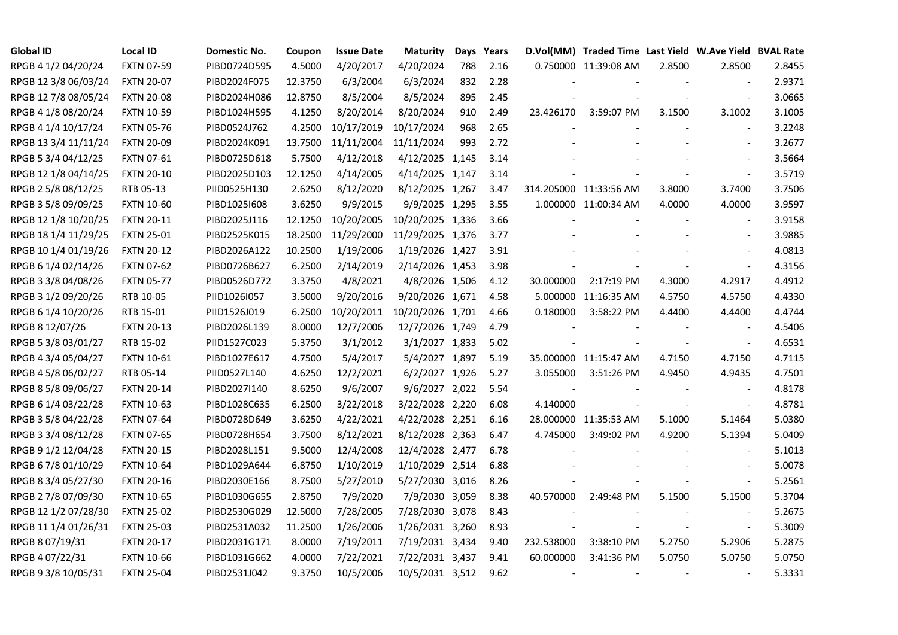| <b>Global ID</b>     | Local ID          | Domestic No. | Coupon  | <b>Issue Date</b> | <b>Maturity</b>  |     | Days Years |                          | D.Vol(MM) Traded Time Last Yield W.Ave Yield BVAL Rate |        |                          |        |
|----------------------|-------------------|--------------|---------|-------------------|------------------|-----|------------|--------------------------|--------------------------------------------------------|--------|--------------------------|--------|
| RPGB 4 1/2 04/20/24  | <b>FXTN 07-59</b> | PIBD0724D595 | 4.5000  | 4/20/2017         | 4/20/2024        | 788 | 2.16       |                          | 0.750000 11:39:08 AM                                   | 2.8500 | 2.8500                   | 2.8455 |
| RPGB 12 3/8 06/03/24 | <b>FXTN 20-07</b> | PIBD2024F075 | 12.3750 | 6/3/2004          | 6/3/2024         | 832 | 2.28       |                          |                                                        |        |                          | 2.9371 |
| RPGB 12 7/8 08/05/24 | <b>FXTN 20-08</b> | PIBD2024H086 | 12.8750 | 8/5/2004          | 8/5/2024         | 895 | 2.45       |                          |                                                        |        | $\sim$                   | 3.0665 |
| RPGB 4 1/8 08/20/24  | <b>FXTN 10-59</b> | PIBD1024H595 | 4.1250  | 8/20/2014         | 8/20/2024        | 910 | 2.49       | 23.426170                | 3:59:07 PM                                             | 3.1500 | 3.1002                   | 3.1005 |
| RPGB 4 1/4 10/17/24  | <b>FXTN 05-76</b> | PIBD0524J762 | 4.2500  | 10/17/2019        | 10/17/2024       | 968 | 2.65       |                          |                                                        |        | $\blacksquare$           | 3.2248 |
| RPGB 13 3/4 11/11/24 | <b>FXTN 20-09</b> | PIBD2024K091 | 13.7500 | 11/11/2004        | 11/11/2024       | 993 | 2.72       |                          |                                                        |        | $\blacksquare$           | 3.2677 |
| RPGB 5 3/4 04/12/25  | <b>FXTN 07-61</b> | PIBD0725D618 | 5.7500  | 4/12/2018         | 4/12/2025 1,145  |     | 3.14       |                          |                                                        |        | $\overline{\phantom{a}}$ | 3.5664 |
| RPGB 12 1/8 04/14/25 | <b>FXTN 20-10</b> | PIBD2025D103 | 12.1250 | 4/14/2005         | 4/14/2025 1,147  |     | 3.14       |                          |                                                        |        | $\blacksquare$           | 3.5719 |
| RPGB 2 5/8 08/12/25  | RTB 05-13         | PIID0525H130 | 2.6250  | 8/12/2020         | 8/12/2025 1,267  |     | 3.47       |                          | 314.205000 11:33:56 AM                                 | 3.8000 | 3.7400                   | 3.7506 |
| RPGB 3 5/8 09/09/25  | <b>FXTN 10-60</b> | PIBD10251608 | 3.6250  | 9/9/2015          | 9/9/2025 1,295   |     | 3.55       |                          | 1.000000 11:00:34 AM                                   | 4.0000 | 4.0000                   | 3.9597 |
| RPGB 12 1/8 10/20/25 | <b>FXTN 20-11</b> | PIBD2025J116 | 12.1250 | 10/20/2005        | 10/20/2025 1,336 |     | 3.66       |                          |                                                        |        | $\blacksquare$           | 3.9158 |
| RPGB 18 1/4 11/29/25 | <b>FXTN 25-01</b> | PIBD2525K015 | 18.2500 | 11/29/2000        | 11/29/2025 1,376 |     | 3.77       |                          |                                                        |        | $\sim$                   | 3.9885 |
| RPGB 10 1/4 01/19/26 | <b>FXTN 20-12</b> | PIBD2026A122 | 10.2500 | 1/19/2006         | 1/19/2026 1,427  |     | 3.91       |                          |                                                        |        | $\blacksquare$           | 4.0813 |
| RPGB 6 1/4 02/14/26  | <b>FXTN 07-62</b> | PIBD0726B627 | 6.2500  | 2/14/2019         | 2/14/2026 1,453  |     | 3.98       |                          |                                                        |        | $\blacksquare$           | 4.3156 |
| RPGB 3 3/8 04/08/26  | <b>FXTN 05-77</b> | PIBD0526D772 | 3.3750  | 4/8/2021          | 4/8/2026 1,506   |     | 4.12       | 30.000000                | 2:17:19 PM                                             | 4.3000 | 4.2917                   | 4.4912 |
| RPGB 3 1/2 09/20/26  | RTB 10-05         | PIID1026I057 | 3.5000  | 9/20/2016         | 9/20/2026 1,671  |     | 4.58       |                          | 5.000000 11:16:35 AM                                   | 4.5750 | 4.5750                   | 4.4330 |
| RPGB 6 1/4 10/20/26  | RTB 15-01         | PIID1526J019 | 6.2500  | 10/20/2011        | 10/20/2026 1,701 |     | 4.66       | 0.180000                 | 3:58:22 PM                                             | 4.4400 | 4.4400                   | 4.4744 |
| RPGB 8 12/07/26      | <b>FXTN 20-13</b> | PIBD2026L139 | 8.0000  | 12/7/2006         | 12/7/2026 1,749  |     | 4.79       |                          |                                                        |        | $\mathbf{r}$             | 4.5406 |
| RPGB 5 3/8 03/01/27  | RTB 15-02         | PIID1527C023 | 5.3750  | 3/1/2012          | 3/1/2027 1,833   |     | 5.02       |                          |                                                        |        | $\blacksquare$           | 4.6531 |
| RPGB 4 3/4 05/04/27  | <b>FXTN 10-61</b> | PIBD1027E617 | 4.7500  | 5/4/2017          | 5/4/2027 1,897   |     | 5.19       |                          | 35.000000 11:15:47 AM                                  | 4.7150 | 4.7150                   | 4.7115 |
| RPGB 4 5/8 06/02/27  | RTB 05-14         | PIID0527L140 | 4.6250  | 12/2/2021         | 6/2/2027 1,926   |     | 5.27       | 3.055000                 | 3:51:26 PM                                             | 4.9450 | 4.9435                   | 4.7501 |
| RPGB 8 5/8 09/06/27  | <b>FXTN 20-14</b> | PIBD2027I140 | 8.6250  | 9/6/2007          | 9/6/2027 2,022   |     | 5.54       |                          |                                                        |        |                          | 4.8178 |
| RPGB 6 1/4 03/22/28  | <b>FXTN 10-63</b> | PIBD1028C635 | 6.2500  | 3/22/2018         | 3/22/2028 2,220  |     | 6.08       | 4.140000                 |                                                        |        | $\overline{\phantom{a}}$ | 4.8781 |
| RPGB 3 5/8 04/22/28  | <b>FXTN 07-64</b> | PIBD0728D649 | 3.6250  | 4/22/2021         | 4/22/2028 2,251  |     | 6.16       |                          | 28.000000 11:35:53 AM                                  | 5.1000 | 5.1464                   | 5.0380 |
| RPGB 3 3/4 08/12/28  | <b>FXTN 07-65</b> | PIBD0728H654 | 3.7500  | 8/12/2021         | 8/12/2028 2,363  |     | 6.47       | 4.745000                 | 3:49:02 PM                                             | 4.9200 | 5.1394                   | 5.0409 |
| RPGB 9 1/2 12/04/28  | <b>FXTN 20-15</b> | PIBD2028L151 | 9.5000  | 12/4/2008         | 12/4/2028 2,477  |     | 6.78       |                          |                                                        |        | $\blacksquare$           | 5.1013 |
| RPGB 67/8 01/10/29   | <b>FXTN 10-64</b> | PIBD1029A644 | 6.8750  | 1/10/2019         | 1/10/2029 2,514  |     | 6.88       |                          |                                                        |        | $\blacksquare$           | 5.0078 |
| RPGB 8 3/4 05/27/30  | <b>FXTN 20-16</b> | PIBD2030E166 | 8.7500  | 5/27/2010         | 5/27/2030 3,016  |     | 8.26       |                          |                                                        |        | $\blacksquare$           | 5.2561 |
| RPGB 2 7/8 07/09/30  | <b>FXTN 10-65</b> | PIBD1030G655 | 2.8750  | 7/9/2020          | 7/9/2030 3,059   |     | 8.38       | 40.570000                | 2:49:48 PM                                             | 5.1500 | 5.1500                   | 5.3704 |
| RPGB 12 1/2 07/28/30 | <b>FXTN 25-02</b> | PIBD2530G029 | 12.5000 | 7/28/2005         | 7/28/2030 3,078  |     | 8.43       |                          |                                                        |        |                          | 5.2675 |
| RPGB 11 1/4 01/26/31 | <b>FXTN 25-03</b> | PIBD2531A032 | 11.2500 | 1/26/2006         | 1/26/2031 3,260  |     | 8.93       |                          |                                                        |        | $\blacksquare$           | 5.3009 |
| RPGB 8 07/19/31      | <b>FXTN 20-17</b> | PIBD2031G171 | 8.0000  | 7/19/2011         | 7/19/2031 3,434  |     | 9.40       | 232.538000               | 3:38:10 PM                                             | 5.2750 | 5.2906                   | 5.2875 |
| RPGB 4 07/22/31      | <b>FXTN 10-66</b> | PIBD1031G662 | 4.0000  | 7/22/2021         | 7/22/2031 3,437  |     | 9.41       | 60.000000                | 3:41:36 PM                                             | 5.0750 | 5.0750                   | 5.0750 |
| RPGB 9 3/8 10/05/31  | <b>FXTN 25-04</b> | PIBD2531J042 | 9.3750  | 10/5/2006         | 10/5/2031 3,512  |     | 9.62       | $\overline{\phantom{a}}$ |                                                        |        | $\overline{\phantom{a}}$ | 5.3331 |